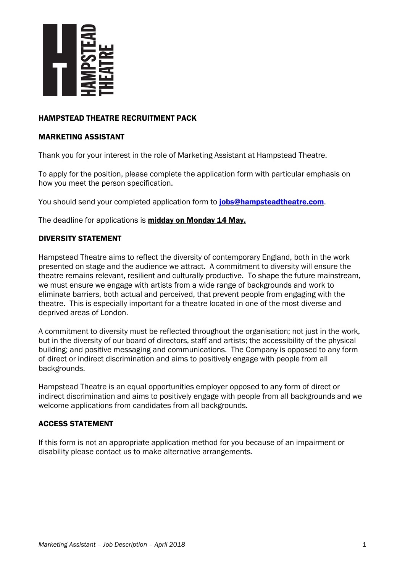

## HAMPSTEAD THEATRE RECRUITMENT PACK

#### MARKETING ASSISTANT

Thank you for your interest in the role of Marketing Assistant at Hampstead Theatre.

To apply for the position, please complete the application form with particular emphasis on how you meet the person specification.

You should send your completed application form to **[jobs@hampsteadtheatre.com](mailto:jobs@hampsteadtheatre.com)**.

The deadline for applications is midday on Monday 14 May.

### DIVERSITY STATEMENT

Hampstead Theatre aims to reflect the diversity of contemporary England, both in the work presented on stage and the audience we attract. A commitment to diversity will ensure the theatre remains relevant, resilient and culturally productive. To shape the future mainstream, we must ensure we engage with artists from a wide range of backgrounds and work to eliminate barriers, both actual and perceived, that prevent people from engaging with the theatre. This is especially important for a theatre located in one of the most diverse and deprived areas of London.

A commitment to diversity must be reflected throughout the organisation; not just in the work, but in the diversity of our board of directors, staff and artists; the accessibility of the physical building; and positive messaging and communications. The Company is opposed to any form of direct or indirect discrimination and aims to positively engage with people from all backgrounds.

Hampstead Theatre is an equal opportunities employer opposed to any form of direct or indirect discrimination and aims to positively engage with people from all backgrounds and we welcome applications from candidates from all backgrounds.

### ACCESS STATEMENT

If this form is not an appropriate application method for you because of an impairment or disability please contact us to make alternative arrangements.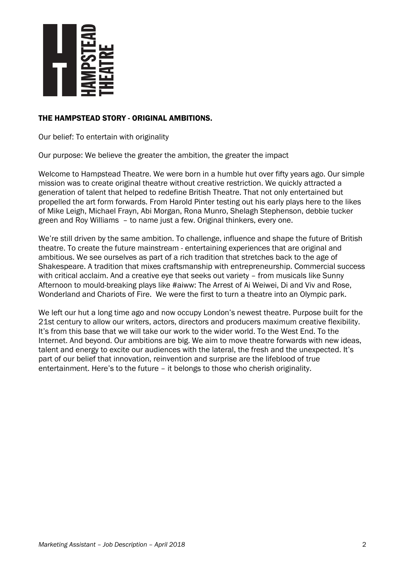

## THE HAMPSTEAD STORY - ORIGINAL AMBITIONS.

Our belief: To entertain with originality

Our purpose: We believe the greater the ambition, the greater the impact

Welcome to Hampstead Theatre. We were born in a humble hut over fifty years ago. Our simple mission was to create original theatre without creative restriction. We quickly attracted a generation of talent that helped to redefine British Theatre. That not only entertained but propelled the art form forwards. From Harold Pinter testing out his early plays here to the likes of Mike Leigh, Michael Frayn, Abi Morgan, Rona Munro, Shelagh Stephenson, debbie tucker green and Roy Williams – to name just a few. Original thinkers, every one.

We're still driven by the same ambition. To challenge, influence and shape the future of British theatre. To create the future mainstream - entertaining experiences that are original and ambitious. We see ourselves as part of a rich tradition that stretches back to the age of Shakespeare. A tradition that mixes craftsmanship with entrepreneurship. Commercial success with critical acclaim. And a creative eye that seeks out variety – from musicals like Sunny Afternoon to mould-breaking plays like #aiww: The Arrest of Ai Weiwei, Di and Viv and Rose, Wonderland and Chariots of Fire. We were the first to turn a theatre into an Olympic park.

We left our hut a long time ago and now occupy London's newest theatre. Purpose built for the 21st century to allow our writers, actors, directors and producers maximum creative flexibility. It's from this base that we will take our work to the wider world. To the West End. To the Internet. And beyond. Our ambitions are big. We aim to move theatre forwards with new ideas, talent and energy to excite our audiences with the lateral, the fresh and the unexpected. It's part of our belief that innovation, reinvention and surprise are the lifeblood of true entertainment. Here's to the future – it belongs to those who cherish originality.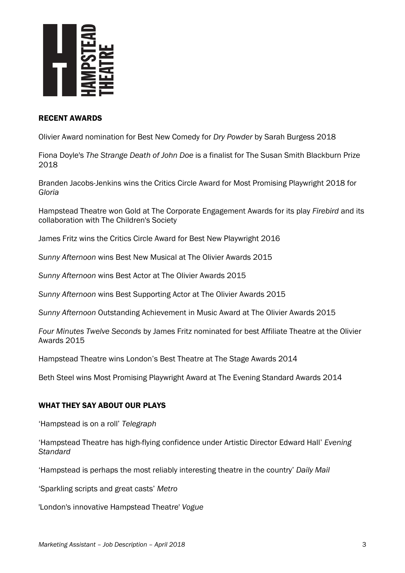

### RECENT AWARDS

Olivier Award nomination for Best New Comedy for *Dry Powder* by Sarah Burgess 2018

Fiona Doyle's *The Strange Death of John Doe* is a finalist for The Susan Smith Blackburn Prize 2018

Branden Jacobs-Jenkins wins the Critics Circle Award for Most Promising Playwright 2018 for *Gloria*

Hampstead Theatre won Gold at The Corporate Engagement Awards for its play *Firebird* and its collaboration with The Children's Society

James Fritz wins the Critics Circle Award for Best New Playwright 2016

*Sunny Afternoon* wins Best New Musical at The Olivier Awards 2015

*Sunny Afternoon* wins Best Actor at The Olivier Awards 2015

*Sunny Afternoon* wins Best Supporting Actor at The Olivier Awards 2015

*Sunny Afternoon* Outstanding Achievement in Music Award at The Olivier Awards 2015

*Four Minutes Twelve Seconds* by James Fritz nominated for best Affiliate Theatre at the Olivier Awards 2015

Hampstead Theatre wins London's Best Theatre at The Stage Awards 2014

Beth Steel wins Most Promising Playwright Award at The Evening Standard Awards 2014

### WHAT THEY SAY ABOUT OUR PLAYS

'Hampstead is on a roll' *Telegraph*

'Hampstead Theatre has high-flying confidence under Artistic Director Edward Hall' *Evening Standard*

'Hampstead is perhaps the most reliably interesting theatre in the country' *Daily Mail*

'Sparkling scripts and great casts' *Metro*

'London's innovative Hampstead Theatre' *Vogue*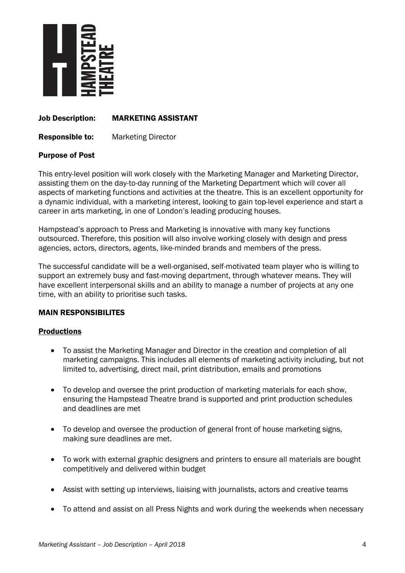

### Job Description: MARKETING ASSISTANT

Responsible to: Marketing Director

### Purpose of Post

This entry-level position will work closely with the Marketing Manager and Marketing Director, assisting them on the day-to-day running of the Marketing Department which will cover all aspects of marketing functions and activities at the theatre. This is an excellent opportunity for a dynamic individual, with a marketing interest, looking to gain top-level experience and start a career in arts marketing, in one of London's leading producing houses.

Hampstead's approach to Press and Marketing is innovative with many key functions outsourced. Therefore, this position will also involve working closely with design and press agencies, actors, directors, agents, like-minded brands and members of the press.

The successful candidate will be a well-organised, self-motivated team player who is willing to support an extremely busy and fast-moving department, through whatever means. They will have excellent interpersonal skills and an ability to manage a number of projects at any one time, with an ability to prioritise such tasks.

### MAIN RESPONSIBILITES

### **Productions**

- To assist the Marketing Manager and Director in the creation and completion of all marketing campaigns. This includes all elements of marketing activity including, but not limited to, advertising, direct mail, print distribution, emails and promotions
- To develop and oversee the print production of marketing materials for each show, ensuring the Hampstead Theatre brand is supported and print production schedules and deadlines are met
- To develop and oversee the production of general front of house marketing signs, making sure deadlines are met.
- To work with external graphic designers and printers to ensure all materials are bought competitively and delivered within budget
- Assist with setting up interviews, liaising with journalists, actors and creative teams
- To attend and assist on all Press Nights and work during the weekends when necessary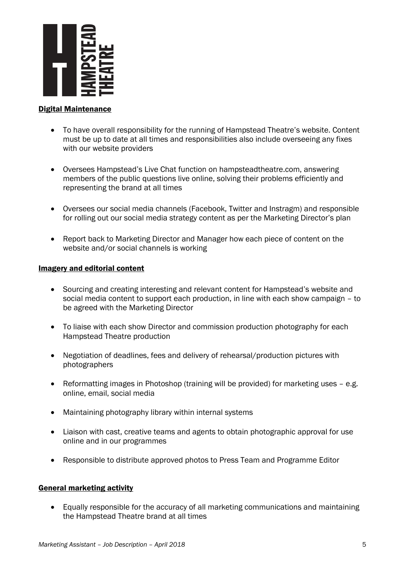

### Digital Maintenance

- To have overall responsibility for the running of Hampstead Theatre's website. Content must be up to date at all times and responsibilities also include overseeing any fixes with our website providers
- Oversees Hampstead's Live Chat function on hampsteadtheatre.com, answering members of the public questions live online, solving their problems efficiently and representing the brand at all times
- Oversees our social media channels (Facebook, Twitter and Instragm) and responsible for rolling out our social media strategy content as per the Marketing Director's plan
- Report back to Marketing Director and Manager how each piece of content on the website and/or social channels is working

### Imagery and editorial content

- Sourcing and creating interesting and relevant content for Hampstead's website and social media content to support each production, in line with each show campaign – to be agreed with the Marketing Director
- To liaise with each show Director and commission production photography for each Hampstead Theatre production
- Negotiation of deadlines, fees and delivery of rehearsal/production pictures with photographers
- Reformatting images in Photoshop (training will be provided) for marketing uses e.g. online, email, social media
- Maintaining photography library within internal systems
- Liaison with cast, creative teams and agents to obtain photographic approval for use online and in our programmes
- Responsible to distribute approved photos to Press Team and Programme Editor

## General marketing activity

• Equally responsible for the accuracy of all marketing communications and maintaining the Hampstead Theatre brand at all times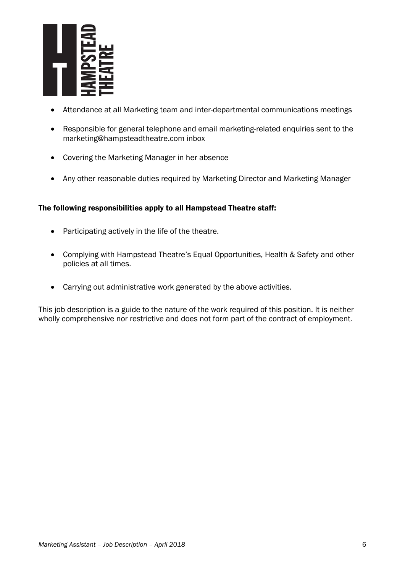

- Attendance at all Marketing team and inter-departmental communications meetings
- Responsible for general telephone and email marketing-related enquiries sent to the [marketing@hampsteadtheatre.com](mailto:marketing@hampsteadtheatre.com) inbox
- Covering the Marketing Manager in her absence
- Any other reasonable duties required by Marketing Director and Marketing Manager

## The following responsibilities apply to all Hampstead Theatre staff:

- Participating actively in the life of the theatre.
- Complying with Hampstead Theatre's Equal Opportunities, Health & Safety and other policies at all times.
- Carrying out administrative work generated by the above activities.

This job description is a guide to the nature of the work required of this position. It is neither wholly comprehensive nor restrictive and does not form part of the contract of employment.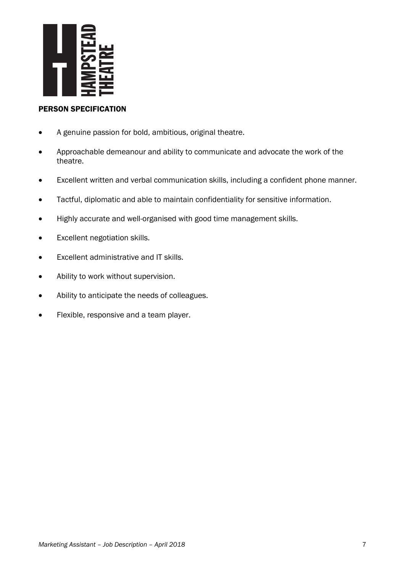

# PERSON SPECIFICATION

- A genuine passion for bold, ambitious, original theatre.
- Approachable demeanour and ability to communicate and advocate the work of the theatre.
- Excellent written and verbal communication skills, including a confident phone manner.
- Tactful, diplomatic and able to maintain confidentiality for sensitive information.
- Highly accurate and well-organised with good time management skills.
- Excellent negotiation skills.
- Excellent administrative and IT skills.
- Ability to work without supervision.
- Ability to anticipate the needs of colleagues.
- Flexible, responsive and a team player.